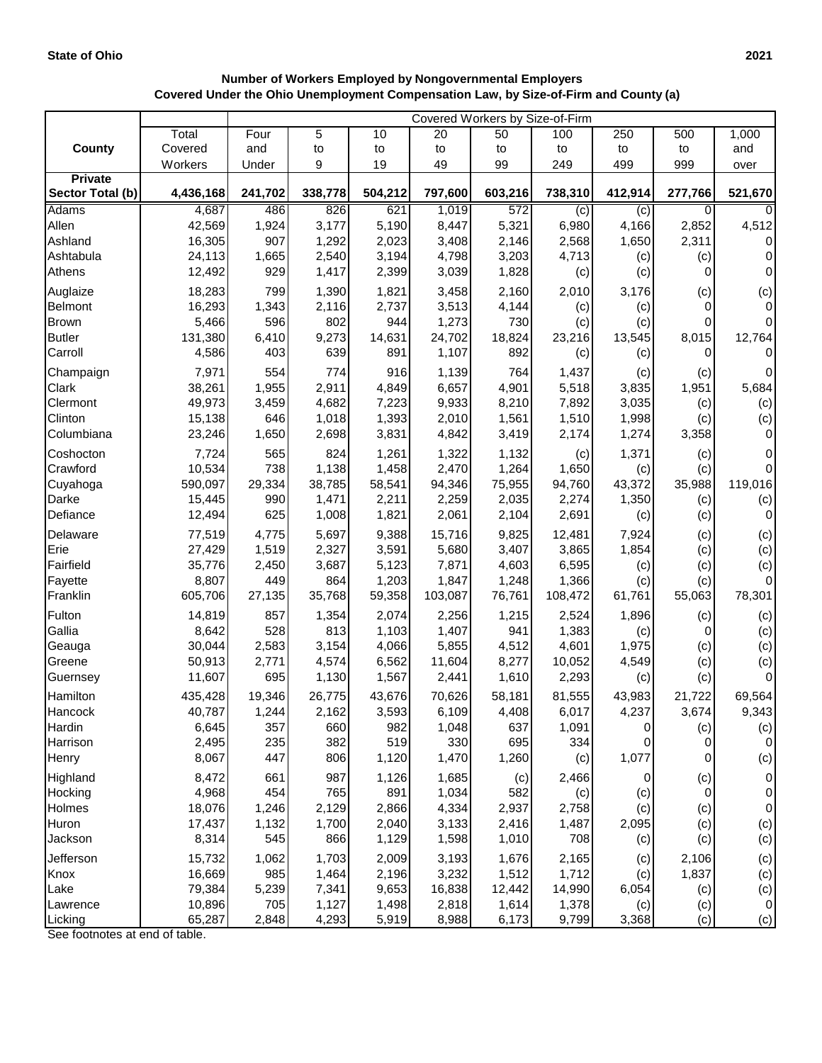## **Number of Workers Employed by Nongovernmental Employers Covered Under the Ohio Unemployment Compensation Law, by Size-of-Firm and County (a)**

|                    |                  | Covered Workers by Size-of-Firm |                |                |                |                |                |                    |                  |                     |
|--------------------|------------------|---------------------------------|----------------|----------------|----------------|----------------|----------------|--------------------|------------------|---------------------|
|                    | Total            | Four                            | 5              | 10             | 20             | 50             | 100            | 250                | 500              | 1,000               |
| <b>County</b>      | Covered          | and                             | to             | to             | to             | to             | to             | to                 | to               | and                 |
|                    | Workers          | Under                           | 9              | 19             | 49             | 99             | 249            | 499                | 999              | over                |
| <b>Private</b>     |                  |                                 |                |                |                |                |                |                    |                  |                     |
| Sector Total (b)   | 4,436,168        | 241,702                         | 338,778        | 504,212        | 797,600        | 603,216        | 738,310        | 412,914            | 277,766          | 521,670             |
| Adams              | 4,687            | 486                             | 826            | 621            | 1,019          | 572            | (c)            | (c)                | $\Omega$         | $\Omega$            |
| Allen<br>Ashland   | 42,569<br>16,305 | 1,924<br>907                    | 3,177<br>1,292 | 5,190<br>2,023 | 8,447<br>3,408 | 5,321<br>2,146 | 6,980<br>2,568 | 4,166<br>1,650     | 2,852<br>2,311   | 4,512<br>0          |
| Ashtabula          | 24,113           | 1,665                           | 2,540          | 3,194          | 4,798          | 3,203          | 4,713          | (c)                | (c)              | $\Omega$            |
| Athens             | 12,492           | 929                             | 1,417          | 2,399          | 3,039          | 1,828          | (c)            | (c)                | $\Omega$         | $\pmb{0}$           |
| Auglaize           | 18,283           | 799                             | 1,390          | 1,821          | 3,458          | 2,160          | 2,010          | 3,176              |                  |                     |
| Belmont            | 16,293           | 1,343                           | 2,116          | 2,737          | 3,513          | 4,144          | (c)            | (c)                | (c)<br>$\Omega$  | (c)<br>$\pmb{0}$    |
| <b>Brown</b>       | 5,466            | 596                             | 802            | 944            | 1,273          | 730            | (c)            | (c)                | 0                | 0                   |
| <b>Butler</b>      | 131,380          | 6,410                           | 9,273          | 14,631         | 24,702         | 18,824         | 23,216         | 13,545             | 8,015            | 12,764              |
| Carroll            | 4,586            | 403                             | 639            | 891            | 1,107          | 892            | (c)            | (c)                | 0                | $\mathbf 0$         |
| Champaign          | 7,971            | 554                             | 774            | 916            | 1,139          | 764            | 1,437          | (c)                | (c)              | $\pmb{0}$           |
| Clark              | 38,261           | 1,955                           | 2,911          | 4,849          | 6,657          | 4,901          | 5,518          | 3,835              | 1,951            | 5,684               |
| Clermont           | 49,973           | 3,459                           | 4,682          | 7,223          | 9,933          | 8,210          | 7,892          | 3,035              | (c)              | (c)                 |
| Clinton            | 15,138           | 646                             | 1,018          | 1,393          | 2,010          | 1,561          | 1,510          | 1,998              | (c)              | (c)                 |
| Columbiana         | 23,246           | 1,650                           | 2,698          | 3,831          | 4,842          | 3,419          | 2,174          | 1,274              | 3,358            | $\pmb{0}$           |
| Coshocton          | 7,724            | 565                             | 824            | 1,261          | 1,322          | 1,132          | (c)            | 1,371              | (c)              | 0                   |
| Crawford           | 10,534           | 738                             | 1,138          | 1,458          | 2,470          | 1,264          | 1,650          | (c)                | (c)              | $\mathsf{O}\xspace$ |
| Cuyahoga           | 590,097          | 29,334                          | 38,785         | 58,541         | 94,346         | 75,955         | 94,760         | 43,372             | 35,988           | 119,016             |
| Darke              | 15,445           | 990                             | 1,471          | 2,211          | 2,259          | 2,035          | 2,274          | 1,350              | (c)              | (c)                 |
| Defiance           | 12,494           | 625                             | 1,008          | 1,821          | 2,061          | 2,104          | 2,691          | (c)                | (c)              | 0                   |
| Delaware           | 77,519           | 4,775                           | 5,697          | 9,388          | 15,716         | 9,825          | 12,481         | 7,924              | (c)              | (c)                 |
| Erie               | 27,429           | 1,519                           | 2,327          | 3,591          | 5,680          | 3,407          | 3,865          | 1,854              | (c)              | (c)                 |
| Fairfield          | 35,776           | 2,450                           | 3,687          | 5,123          | 7,871          | 4,603          | 6,595          | (c)                | (c)              | (c)                 |
| Fayette            | 8,807            | 449                             | 864            | 1,203          | 1,847          | 1,248          | 1,366          | (c)                | (c)              | $\pmb{0}$           |
| Franklin           | 605,706          | 27,135                          | 35,768         | 59,358         | 103,087        | 76,761         | 108,472        | 61,761             | 55,063           | 78,301              |
| Fulton             | 14,819           | 857                             | 1,354          | 2,074          | 2,256          | 1,215          | 2,524          | 1,896              | (c)              | (c)                 |
| Gallia             | 8,642            | 528                             | 813            | 1,103          | 1,407          | 941            | 1,383          | (c)                | 0                | (c)                 |
| Geauga             | 30,044           | 2,583                           | 3,154          | 4,066          | 5,855          | 4,512          | 4,601          | 1,975              | (c)              | (c)                 |
| Greene             | 50,913           | 2,771                           | 4,574          | 6,562          | 11,604         | 8,277          | 10,052         | 4,549              | (c)              | (c)                 |
| Guernsey           | 11,607           | 695                             | 1,130          | 1,567          | 2,441          | 1,610          | 2,293          | (c)                | (c)              | $\mathbf 0$         |
| Hamilton           | 435,428          | 19,346                          | 26,775         | 43,676         | 70,626         | 58,181         | 81,555         | 43,983             | 21,722           | 69,564              |
| Hancock            | 40,787           | 1,244                           | 2,162          | 3,593          | 6,109          | 4,408          | 6,017          | 4,237              | 3,674            | 9,343               |
| Hardin<br>Harrison | 6,645<br>2,495   | 357<br>235                      | 660<br>382     | 982<br>519     | 1,048<br>330   | 637<br>695     | 1,091<br>334   | 0<br>0             | (c)<br>0         | (c)<br>$\pmb{0}$    |
| Henry              | 8,067            | 447                             | 806            | 1,120          | 1,470          | 1,260          | (c)            | 1,077              | 0                | (c)                 |
| Highland           | 8,472            | 661                             | 987            | 1,126          | 1,685          |                | 2,466          |                    |                  | $\pmb{0}$           |
| Hocking            | 4,968            | 454                             | 765            | 891            | 1,034          | (c)<br>582     | (c)            | $\mathbf 0$<br>(c) | (c)<br>$\pmb{0}$ | $\pmb{0}$           |
| Holmes             | 18,076           | 1,246                           | 2,129          | 2,866          | 4,334          | 2,937          | 2,758          | (c)                | (c)              | $\pmb{0}$           |
| Huron              | 17,437           | 1,132                           | 1,700          | 2,040          | 3,133          | 2,416          | 1,487          | 2,095              | (c)              | (c)                 |
| Jackson            | 8,314            | 545                             | 866            | 1,129          | 1,598          | 1,010          | 708            | (c)                | (c)              | (c)                 |
| Jefferson          | 15,732           | 1,062                           | 1,703          | 2,009          | 3,193          | 1,676          | 2,165          | (c)                | 2,106            | (c)                 |
| Knox               | 16,669           | 985                             | 1,464          | 2,196          | 3,232          | 1,512          | 1,712          | (c)                | 1,837            | (c)                 |
| Lake               | 79,384           | 5,239                           | 7,341          | 9,653          | 16,838         | 12,442         | 14,990         | 6,054              | (c)              | (c)                 |
| Lawrence           | 10,896           | 705                             | 1,127          | 1,498          | 2,818          | 1,614          | 1,378          | (c)                | (c)              | $\pmb{0}$           |
| Licking            | 65,287           | 2,848                           | 4,293          | 5,919          | 8,988          | 6,173          | 9,799          | 3,368              | (c)              | (c)                 |

See footnotes at end of table.